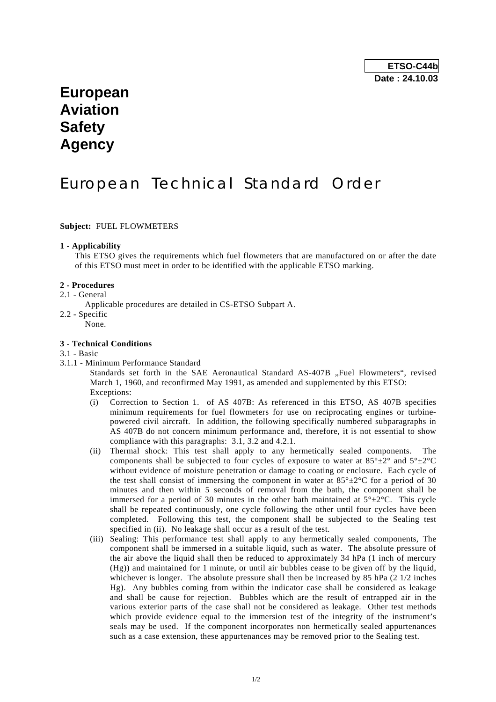# **European Aviation Safety Agency**

# European Technical Standard Order

**Subject:** FUEL FLOWMETERS

#### **1 - Applicability**

 This ETSO gives the requirements which fuel flowmeters that are manufactured on or after the date of this ETSO must meet in order to be identified with the applicable ETSO marking.

#### **2 - Procedures**

### 2.1 - General

- Applicable procedures are detailed in CS-ETSO Subpart A.
- 2.2 Specific
	- None.

### **3 - Technical Conditions**

- 3.1 Basic
- 3.1.1 Minimum Performance Standard

Standards set forth in the SAE Aeronautical Standard AS-407B "Fuel Flowmeters", revised March 1, 1960, and reconfirmed May 1991, as amended and supplemented by this ETSO: Exceptions:

- (i) Correction to Section 1. of AS 407B: As referenced in this ETSO, AS 407B specifies minimum requirements for fuel flowmeters for use on reciprocating engines or turbinepowered civil aircraft. In addition, the following specifically numbered subparagraphs in AS 407B do not concern minimum performance and, therefore, it is not essential to show compliance with this paragraphs: 3.1, 3.2 and 4.2.1.
- (ii) Thermal shock: This test shall apply to any hermetically sealed components. The components shall be subjected to four cycles of exposure to water at  $85^{\circ} \pm 2^{\circ}$  and  $5^{\circ} \pm 2^{\circ}$ C without evidence of moisture penetration or damage to coating or enclosure. Each cycle of the test shall consist of immersing the component in water at  $85^{\circ} \pm 2^{\circ}$ C for a period of 30 minutes and then within 5 seconds of removal from the bath, the component shall be immersed for a period of 30 minutes in the other bath maintained at  $5^{\circ} \pm 2^{\circ}$ C. This cycle shall be repeated continuously, one cycle following the other until four cycles have been completed. Following this test, the component shall be subjected to the Sealing test specified in (ii). No leakage shall occur as a result of the test.
- (iii) Sealing: This performance test shall apply to any hermetically sealed components, The component shall be immersed in a suitable liquid, such as water. The absolute pressure of the air above the liquid shall then be reduced to approximately 34 hPa (1 inch of mercury (Hg)) and maintained for 1 minute, or until air bubbles cease to be given off by the liquid, whichever is longer. The absolute pressure shall then be increased by 85 hPa  $(2\ 1/2)$  inches Hg). Any bubbles coming from within the indicator case shall be considered as leakage and shall be cause for rejection. Bubbles which are the result of entrapped air in the various exterior parts of the case shall not be considered as leakage. Other test methods which provide evidence equal to the immersion test of the integrity of the instrument's seals may be used. If the component incorporates non hermetically sealed appurtenances such as a case extension, these appurtenances may be removed prior to the Sealing test.